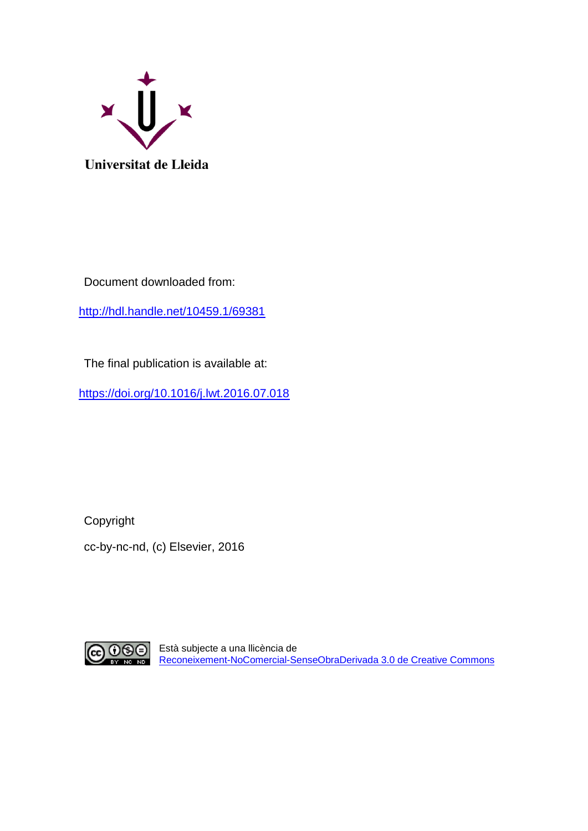

Document downloaded from:

<http://hdl.handle.net/10459.1/69381>

The final publication is available at:

<https://doi.org/10.1016/j.lwt.2016.07.018>

Copyright cc-by-nc-nd, (c) Elsevier, 2016



Està subjecte a una llicència de [Reconeixement-NoComercial-SenseObraDerivada](http://creativecommons.org/licenses/by-nc-nd/3.0/es) 3.0 de Creative Commons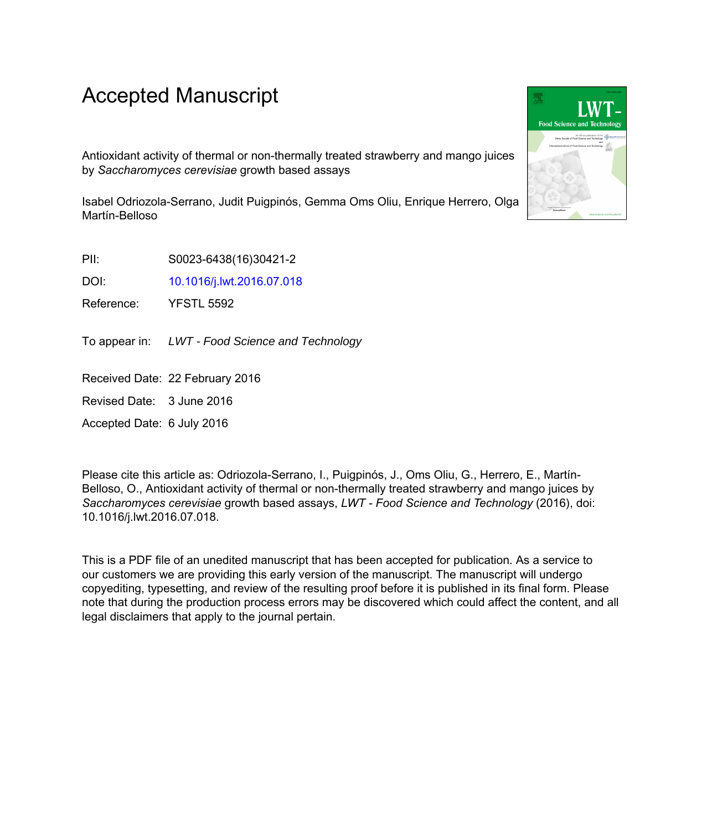# Accepted Manuscript

Antioxidant activity of thermal or non-thermally treated strawberry and mango juices by *Saccharomyces cerevisiae* growth based assays

Isabel Odriozola-Serrano, Judit Puigpinós, Gemma Oms Oliu, Enrique Herrero, Olga Martín-Belloso

PII: S0023-6438(16)30421-2

DOI: [10.1016/j.lwt.2016.07.018](http://dx.doi.org/10.1016/j.lwt.2016.07.018)

Reference: YFSTL 5592

To appear in: LWT - Food Science and Technology

Received Date: 22 February 2016

Revised Date: 3 June 2016

Accepted Date: 6 July 2016

Please cite this article as: Odriozola-Serrano, I., Puigpinós, J., Oms Oliu, G., Herrero, E., Martín-Belloso, O., Antioxidant activity of thermal or non-thermally treated strawberry and mango juices by *Saccharomyces cerevisiae* growth based assays, *LWT - Food Science and Technology* (2016), doi: 10.1016/j.lwt.2016.07.018.

This is a PDF file of an unedited manuscript that has been accepted for publication. As a service to our customers we are providing this early version of the manuscript. The manuscript will undergo copyediting, typesetting, and review of the resulting proof before it is published in its final form. Please note that during the production process errors may be discovered which could affect the content, and all legal disclaimers that apply to the journal pertain.

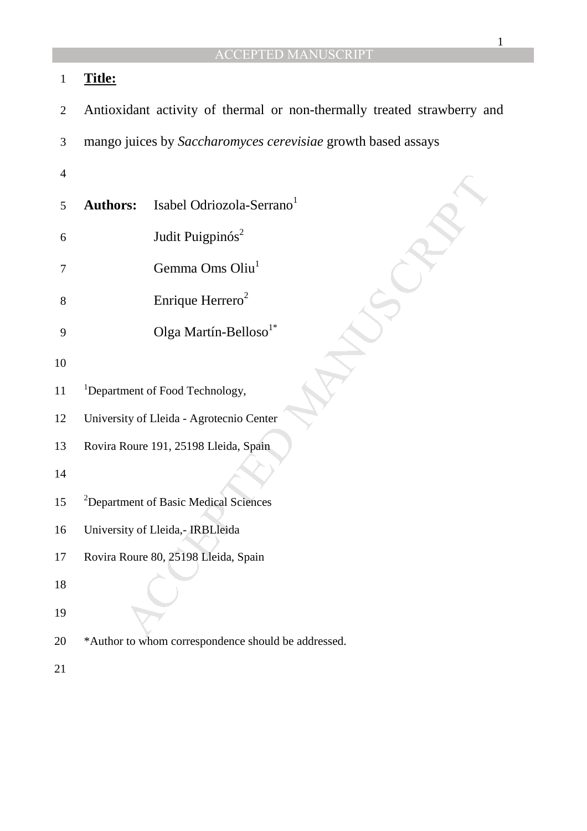## 1 **Title:**

- 2 Antioxidant activity of thermal or non-thermally treated strawberry and
- 3 mango juices by *Saccharomyces cerevisiae* growth based assays
- 4
- rs: Isabel Odriozola-Serrano<br>
Judit Puigpinós<sup>2</sup><br>
Gemma Oms Oliu<sup>1</sup><br>
Enrique Herrero<sup>2</sup><br>
Olga Martín-Belloso<sup>1\*</sup><br>
ment of Food Technology,<br>
ity of Lleida Agrotecnio Center<br>
Roure 191, 25198 Lleida, Spain<br>
ment of Basic M 5 **Authors:** Isabel Odriozola-Serrano<sup>1</sup>
- 6 Judit Puigpinós<sup>2</sup>
- 7 Gemma Oms Oliu<sup>1</sup>
- 8 Enrique Herrero<sup>2</sup>
- 9 Olga Martín-Belloso<sup>1\*</sup>
- 10
- 11 <sup>1</sup>Department of Food Technology,
- 12 University of Lleida Agrotecnio Center
- 13 Rovira Roure 191, 25198 Lleida, Spain
- 14
- 15 <sup>2</sup>Department of Basic Medical Sciences
- 16 University of Lleida,- IRBLleida
- 17 Rovira Roure 80, 25198 Lleida, Spain
- 18
- 19
- 20 \*Author to whom correspondence should be addressed.
- 21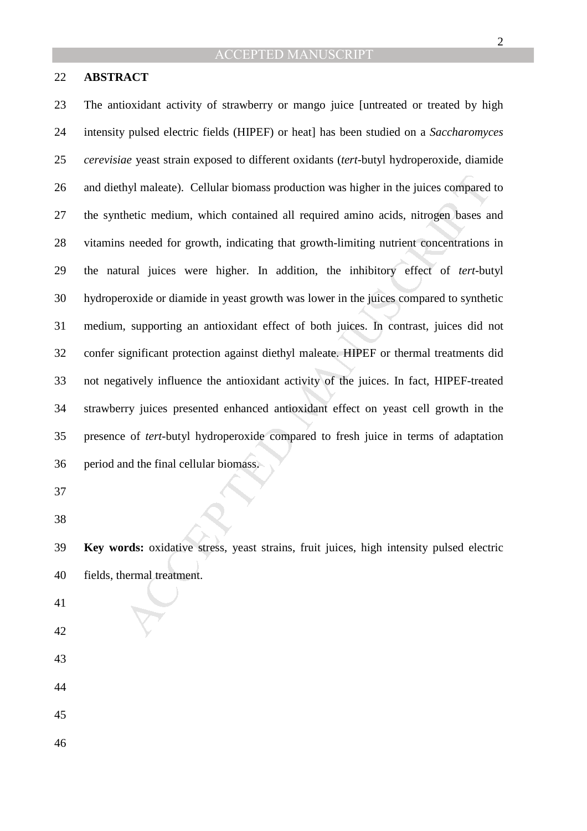#### 22 **ABSTRACT**

hyl maleate). Cellular biomass production was higher in the juices compared<br>thetic medium, which contained all required amino acids, nitrogen bases a<br>seceded for growth, indicating that growth-limiting nutrient concentrati 23 The antioxidant activity of strawberry or mango juice [untreated or treated by high 24 intensity pulsed electric fields (HIPEF) or heat] has been studied on a *Saccharomyces*  25 *cerevisiae* yeast strain exposed to different oxidants (*tert-*butyl hydroperoxide, diamide 26 and diethyl maleate). Cellular biomass production was higher in the juices compared to 27 the synthetic medium, which contained all required amino acids, nitrogen bases and 28 vitamins needed for growth, indicating that growth-limiting nutrient concentrations in 29 the natural juices were higher. In addition, the inhibitory effect of *tert-*butyl 30 hydroperoxide or diamide in yeast growth was lower in the juices compared to synthetic 31 medium, supporting an antioxidant effect of both juices. In contrast, juices did not 32 confer significant protection against diethyl maleate. HIPEF or thermal treatments did 33 not negatively influence the antioxidant activity of the juices. In fact, HIPEF-treated 34 strawberry juices presented enhanced antioxidant effect on yeast cell growth in the 35 presence of *tert*-butyl hydroperoxide compared to fresh juice in terms of adaptation 36 period and the final cellular biomass.

37

38

39 **Key words:** oxidative stress, yeast strains, fruit juices, high intensity pulsed electric 40 fields, thermal treatment.

- 41
- 42
- 43
- 44

45

46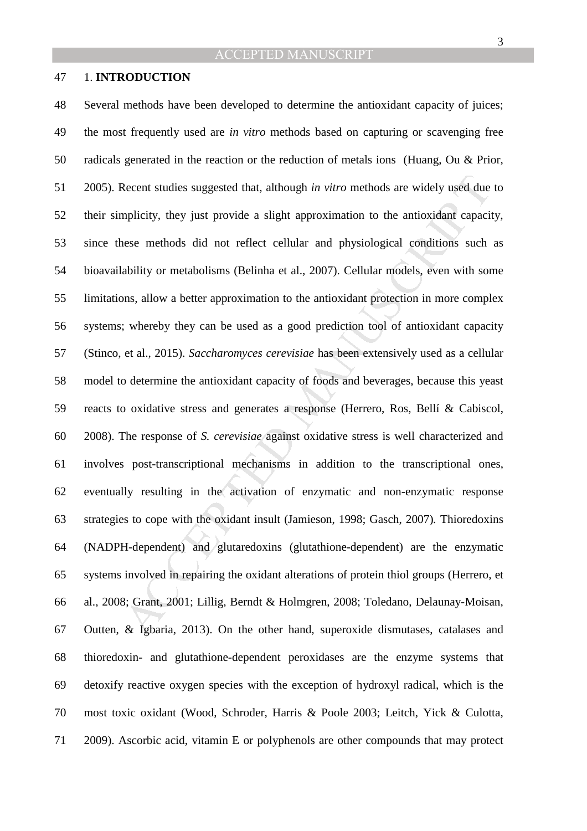### 47 1. **INTRODUCTION**

Recent studies suggested that, although *in vitro* methods are widely used due<br>mplicity, they just provide a slight approximation to the antioxidant capacit<br>see methods did not reflect cellular and physiological conditions 48 Several methods have been developed to determine the antioxidant capacity of juices; 49 the most frequently used are *in vitro* methods based on capturing or scavenging free 50 radicals generated in the reaction or the reduction of metals ions (Huang, Ou & Prior, 51 2005). Recent studies suggested that, although *in vitro* methods are widely used due to 52 their simplicity, they just provide a slight approximation to the antioxidant capacity, 53 since these methods did not reflect cellular and physiological conditions such as 54 bioavailability or metabolisms (Belinha et al., 2007). Cellular models, even with some 55 limitations, allow a better approximation to the antioxidant protection in more complex 56 systems; whereby they can be used as a good prediction tool of antioxidant capacity 57 (Stinco, et al., 2015). *Saccharomyces cerevisiae* has been extensively used as a cellular 58 model to determine the antioxidant capacity of foods and beverages, because this yeast 59 reacts to oxidative stress and generates a response (Herrero, Ros, Bellí & Cabiscol, 60 2008). The response of *S. cerevisiae* against oxidative stress is well characterized and 61 involves post-transcriptional mechanisms in addition to the transcriptional ones, 62 eventually resulting in the activation of enzymatic and non-enzymatic response 63 strategies to cope with the oxidant insult (Jamieson, 1998; Gasch, 2007)*.* Thioredoxins 64 (NADPH-dependent) and glutaredoxins (glutathione-dependent) are the enzymatic 65 systems involved in repairing the oxidant alterations of protein thiol groups (Herrero, et 66 al., 2008; Grant, 2001; Lillig, Berndt & Holmgren, 2008; Toledano, Delaunay-Moisan, 67 Outten, & Igbaria, 2013). On the other hand, superoxide dismutases, catalases and 68 thioredoxin- and glutathione-dependent peroxidases are the enzyme systems that 69 detoxify reactive oxygen species with the exception of hydroxyl radical, which is the 70 most toxic oxidant (Wood, Schroder, Harris & Poole 2003; Leitch, Yick & Culotta, 71 2009). Ascorbic acid, vitamin E or polyphenols are other compounds that may protect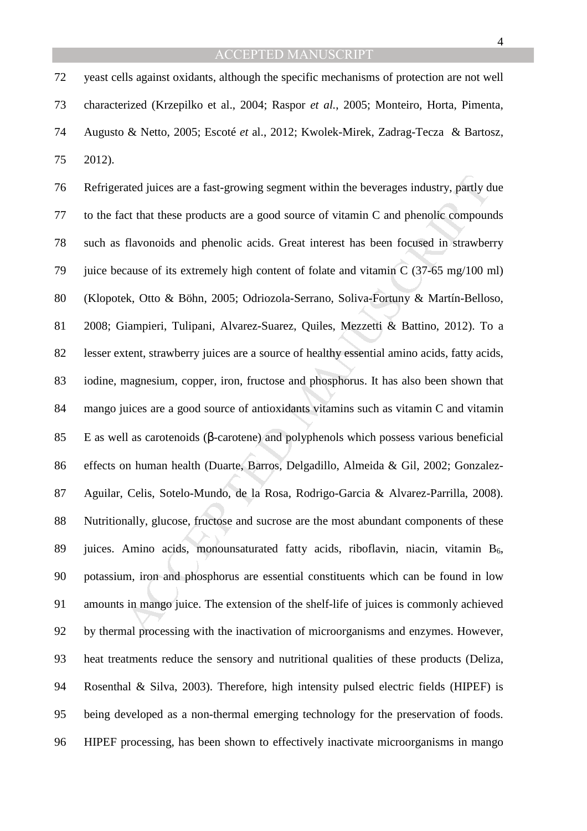72 yeast cells against oxidants, although the specific mechanisms of protection are not well 73 characterized (Krzepilko et al., 2004; Raspor *et al.*, 2005; Monteiro, Horta, Pimenta, 74 Augusto & Netto, 2005; Escoté *et* al., 2012; Kwolek-Mirek, Zadrag-Tecza & Bartosz, 75 2012).

ated juices are a fast-growing segment within the beverages industry, partly due that these products are a good source of vitamin C and phenolic compound flavonoids and phenolic acids. Great interest has been focused in st 76 Refrigerated juices are a fast-growing segment within the beverages industry, partly due 77 to the fact that these products are a good source of vitamin C and phenolic compounds 78 such as flavonoids and phenolic acids. Great interest has been focused in strawberry 79 juice because of its extremely high content of folate and vitamin C (37-65 mg/100 ml) 80 (Klopotek, Otto & Böhn, 2005; Odriozola-Serrano, Soliva-Fortuny & Martín-Belloso, 81 2008; Giampieri, Tulipani, Alvarez-Suarez, Quiles, Mezzetti & Battino, 2012). To a 82 lesser extent, strawberry juices are a source of healthy essential amino acids, fatty acids, 83 iodine, magnesium, copper, iron, fructose and phosphorus. It has also been shown that 84 mango juices are a good source of antioxidants vitamins such as vitamin C and vitamin 85 E as well as carotenoids (β-carotene) and polyphenols which possess various beneficial 86 effects on human health (Duarte, Barros, Delgadillo, Almeida & Gil, 2002; Gonzalez-87 Aguilar, Celis, Sotelo-Mundo, de la Rosa, Rodrigo-Garcia & Alvarez-Parrilla, 2008). 88 Nutritionally, glucose, fructose and sucrose are the most abundant components of these 89 juices. Amino acids, monounsaturated fatty acids, riboflavin, niacin, vitamin  $B_6$ , 90 potassium, iron and phosphorus are essential constituents which can be found in low 91 amounts in mango juice. The extension of the shelf-life of juices is commonly achieved 92 by thermal processing with the inactivation of microorganisms and enzymes. However, 93 heat treatments reduce the sensory and nutritional qualities of these products (Deliza, 94 Rosenthal & Silva, 2003). Therefore, high intensity pulsed electric fields (HIPEF) is 95 being developed as a non-thermal emerging technology for the preservation of foods. 96 HIPEF processing, has been shown to effectively inactivate microorganisms in mango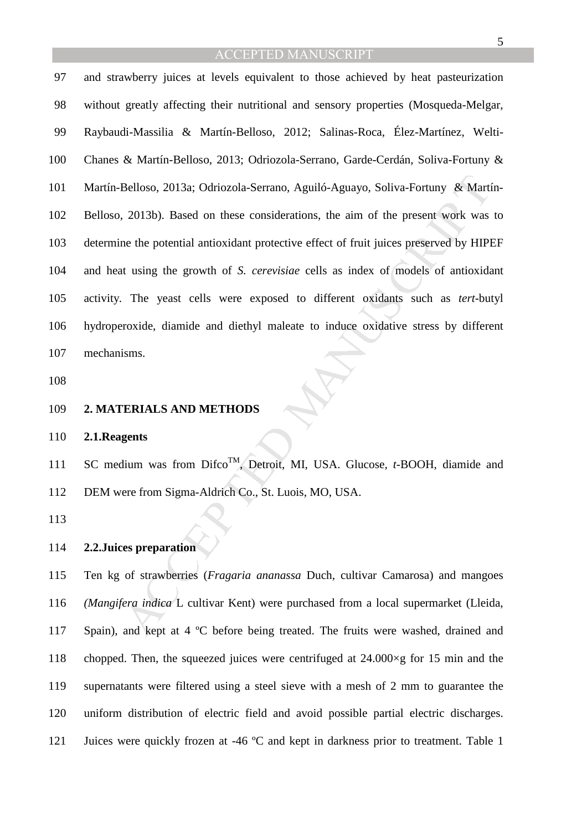Belloso, 2013a; Odriozola-Serrano, Aguiló-Aguayo, Soliva-Fortuny & Marti<br>
2013b). Based on these considerations, the aim of the present work was<br>
ne the potential antioxidant protective effect of fruit juices preserved by 97 and strawberry juices at levels equivalent to those achieved by heat pasteurization 98 without greatly affecting their nutritional and sensory properties (Mosqueda-Melgar, 99 Raybaudi-Massilia & Martín-Belloso, 2012; Salinas-Roca, Élez-Martínez, Welti-100 Chanes & Martín-Belloso, 2013; Odriozola-Serrano, Garde-Cerdán, Soliva-Fortuny & 101 Martín-Belloso, 2013a; Odriozola-Serrano, Aguiló-Aguayo, Soliva-Fortuny & Martín-102 Belloso, 2013b). Based on these considerations, the aim of the present work was to 103 determine the potential antioxidant protective effect of fruit juices preserved by HIPEF 104 and heat using the growth of *S. cerevisiae* cells as index of models of antioxidant 105 activity*.* The yeast cells were exposed to different oxidants such as *tert-*butyl 106 hydroperoxide, diamide and diethyl maleate to induce oxidative stress by different 107 mechanisms.

- 108
- 109 **2. MATERIALS AND METHODS**

110 **2.1.Reagents** 

111 SC medium was from Difco<sup>TM</sup>, Detroit, MI, USA. Glucose, *t*-BOOH, diamide and 112 DEM were from Sigma-Aldrich Co., St. Luois, MO, USA.

113

#### 114 **2.2.Juices preparation**

115 Ten kg of strawberries (*Fragaria ananassa* Duch, cultivar Camarosa) and mangoes 116 *(Mangifera indica* L cultivar Kent) were purchased from a local supermarket (Lleida, 117 Spain), and kept at 4 °C before being treated. The fruits were washed, drained and 118 chopped. Then, the squeezed juices were centrifuged at 24.000×g for 15 min and the 119 supernatants were filtered using a steel sieve with a mesh of 2 mm to guarantee the 120 uniform distribution of electric field and avoid possible partial electric discharges. 121 Juices were quickly frozen at -46 ºC and kept in darkness prior to treatment. Table 1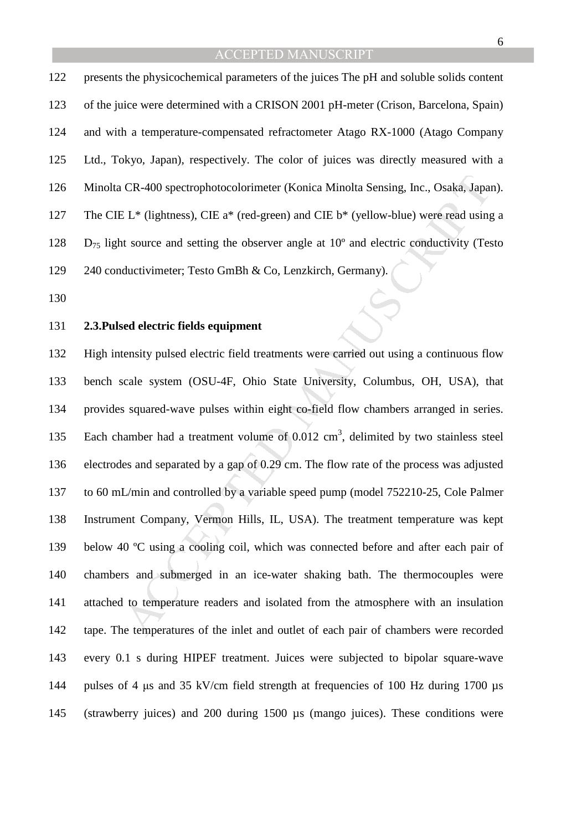122 presents the physicochemical parameters of the juices The pH and soluble solids content 123 of the juice were determined with a CRISON 2001 pH-meter (Crison, Barcelona, Spain) 124 and with a temperature-compensated refractometer Atago RX-1000 (Atago Company 125 Ltd., Tokyo, Japan), respectively. The color of juices was directly measured with a 126 Minolta CR-400 spectrophotocolorimeter (Konica Minolta Sensing, Inc., Osaka, Japan). 127 The CIE L\* (lightness), CIE a\* (red-green) and CIE b\* (yellow-blue) were read using a 128 D75 light source and setting the observer angle at 10º and electric conductivity (Testo 129 240 conductivimeter; Testo GmBh & Co, Lenzkirch, Germany).

130

#### 131 **2.3.Pulsed electric fields equipment**

CR-400 spectrophotocolorimeter (Konica Minolta Sensing, Inc., Osaka, Japan<br>
L<sup>\*</sup> (lightness), CIE a<sup>\*</sup> (red-green) and CIE b<sup>\*</sup> (yellow-blue) were read using<br>
t source and setting the observer angle at 10<sup>°</sup> and electric 132 High intensity pulsed electric field treatments were carried out using a continuous flow 133 bench scale system (OSU-4F, Ohio State University, Columbus, OH, USA), that 134 provides squared-wave pulses within eight co-field flow chambers arranged in series. 135 Each chamber had a treatment volume of  $0.012 \text{ cm}^3$ , delimited by two stainless steel 136 electrodes and separated by a gap of 0.29 cm. The flow rate of the process was adjusted 137 to 60 mL/min and controlled by a variable speed pump (model 752210-25, Cole Palmer 138 Instrument Company, Vermon Hills, IL, USA). The treatment temperature was kept 139 below 40 ºC using a cooling coil, which was connected before and after each pair of 140 chambers and submerged in an ice-water shaking bath. The thermocouples were 141 attached to temperature readers and isolated from the atmosphere with an insulation 142 tape. The temperatures of the inlet and outlet of each pair of chambers were recorded 143 every 0.1 s during HIPEF treatment. Juices were subjected to bipolar square-wave 144 pulses of 4 µs and 35 kV/cm field strength at frequencies of 100 Hz during 1700 µs 145 (strawberry juices) and 200 during 1500 µs (mango juices). These conditions were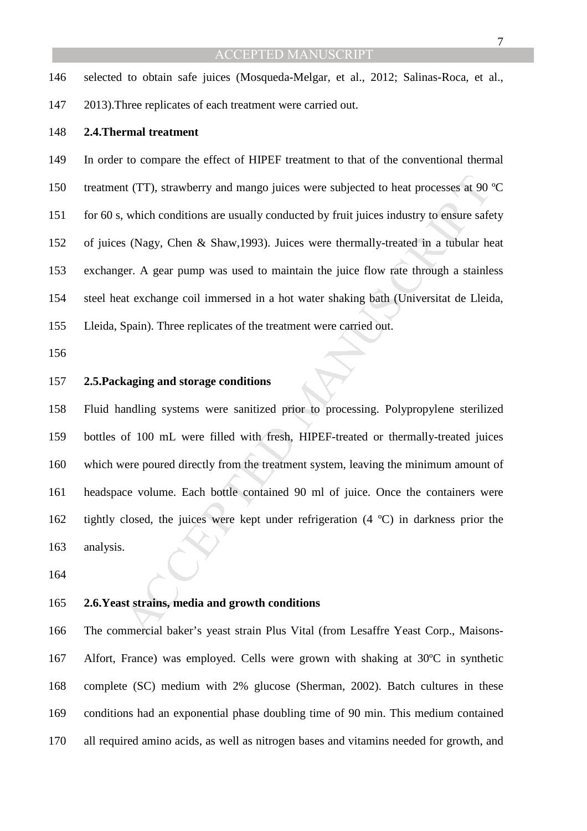7

- 146 selected to obtain safe juices (Mosqueda-Melgar, et al., 2012; Salinas-Roca, et al.,
- 147 2013).Three replicates of each treatment were carried out.

#### 148 **2.4.Thermal treatment**

11 (TT), strawberry and mango juices were subjected to heat processes at 90<br>12 which conditions are usually conducted by fruit juices industry to ensure safes<br>18 (Nagy, Chen & Shaw, 1993). Juices were thermally-treated in 149 In order to compare the effect of HIPEF treatment to that of the conventional thermal 150 treatment (TT), strawberry and mango juices were subjected to heat processes at 90 ºC 151 for 60 s, which conditions are usually conducted by fruit juices industry to ensure safety 152 of juices (Nagy, Chen & Shaw,1993). Juices were thermally-treated in a tubular heat 153 exchanger. A gear pump was used to maintain the juice flow rate through a stainless 154 steel heat exchange coil immersed in a hot water shaking bath (Universitat de Lleida, 155 Lleida, Spain). Three replicates of the treatment were carried out.

156

#### 157 **2.5.Packaging and storage conditions**

158 Fluid handling systems were sanitized prior to processing. Polypropylene sterilized 159 bottles of 100 mL were filled with fresh, HIPEF-treated or thermally-treated juices 160 which were poured directly from the treatment system, leaving the minimum amount of 161 headspace volume. Each bottle contained 90 ml of juice. Once the containers were 162 tightly closed, the juices were kept under refrigeration (4 ºC) in darkness prior the 163 analysis.

164

#### 165 **2.6.Yeast strains, media and growth conditions**

166 The commercial baker's yeast strain Plus Vital (from Lesaffre Yeast Corp., Maisons-167 Alfort, France) was employed. Cells were grown with shaking at 30ºC in synthetic 168 complete (SC) medium with 2% glucose (Sherman, 2002). Batch cultures in these 169 conditions had an exponential phase doubling time of 90 min. This medium contained 170 all required amino acids, as well as nitrogen bases and vitamins needed for growth, and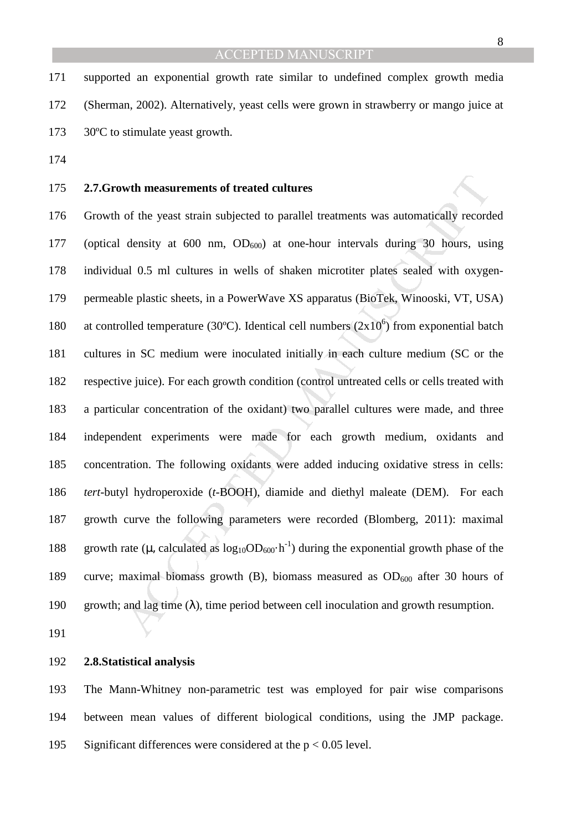171 supported an exponential growth rate similar to undefined complex growth media 172 (Sherman, 2002). Alternatively, yeast cells were grown in strawberry or mango juice at 173 30°C to stimulate yeast growth.

174

#### 175 **2.7.Growth measurements of treated cultures**

wth measurements of treated cultures<br>of the yeast strain subjected to parallel treatments was automatically record<br>density at 600 nm, OD<sub>600</sub>) at one-hour intervals during 30 hours, usi<br>al 0.5 ml cultures in wells of shak 176 Growth of the yeast strain subjected to parallel treatments was automatically recorded 177 (optical density at 600 nm,  $OD_{600}$ ) at one-hour intervals during 30 hours, using 178 individual 0.5 ml cultures in wells of shaken microtiter plates sealed with oxygen-179 permeable plastic sheets, in a PowerWave XS apparatus (BioTek, Winooski, VT, USA) 180 at controlled temperature (30°C). Identical cell numbers  $(2x10<sup>6</sup>)$  from exponential batch 181 cultures in SC medium were inoculated initially in each culture medium (SC or the 182 respective juice). For each growth condition (control untreated cells or cells treated with 183 a particular concentration of the oxidant) two parallel cultures were made, and three 184 independent experiments were made for each growth medium, oxidants and 185 concentration. The following oxidants were added inducing oxidative stress in cells: 186 *tert*-butyl hydroperoxide (*t*-BOOH), diamide and diethyl maleate (DEM). For each 187 growth curve the following parameters were recorded (Blomberg, 2011): maximal 188 growth rate ( $\mu$ , calculated as  $\log_{10}OD_{600} \cdot h^{-1}$ ) during the exponential growth phase of the 189 curve; maximal biomass growth  $(B)$ , biomass measured as  $OD<sub>600</sub>$  after 30 hours of 190 growth; and lag time  $(\lambda)$ , time period between cell inoculation and growth resumption.

191

#### 192 **2.8.Statistical analysis**

193 The Mann-Whitney non-parametric test was employed for pair wise comparisons 194 between mean values of different biological conditions, using the JMP package. 195 Significant differences were considered at the  $p < 0.05$  level.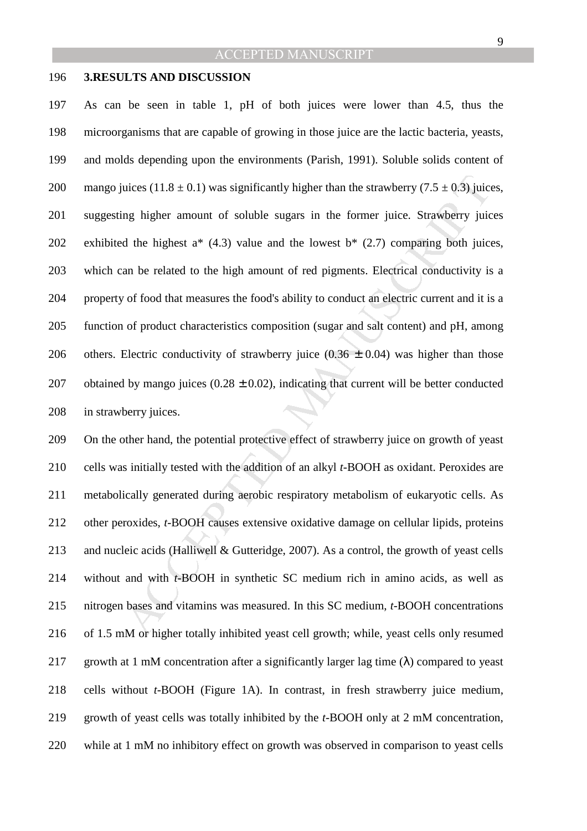#### 196 **3.RESULTS AND DISCUSSION**

uices  $(11.8 \pm 0.1)$  was significantly higher than the strawberry  $(7.5 \pm 0.3)$  juice<br>ng higher amount of soluble sugars in the former juice. Strawberry juice<br>d the highest a\*  $(4.3)$  value and the lowest b\*  $(2.7)$  compa 197 As can be seen in table 1, pH of both juices were lower than 4.5, thus the 198 microorganisms that are capable of growing in those juice are the lactic bacteria, yeasts, 199 and molds depending upon the environments (Parish, 1991). Soluble solids content of 200 mango juices (11.8  $\pm$  0.1) was significantly higher than the strawberry (7.5  $\pm$  0.3) juices, 201 suggesting higher amount of soluble sugars in the former juice. Strawberry juices 202 exhibited the highest  $a^*$  (4.3) value and the lowest  $b^*$  (2.7) comparing both juices, 203 which can be related to the high amount of red pigments. Electrical conductivity is a 204 property of food that measures the food's ability to conduct an electric current and it is a 205 function of product characteristics composition (sugar and salt content) and pH, among 206 others. Electric conductivity of strawberry juice  $(0.36 \pm 0.04)$  was higher than those 207 obtained by mango juices  $(0.28 \pm 0.02)$ , indicating that current will be better conducted 208 in strawberry juices.

209 On the other hand, the potential protective effect of strawberry juice on growth of yeast 210 cells was initially tested with the addition of an alkyl *t*-BOOH as oxidant. Peroxides are 211 metabolically generated during aerobic respiratory metabolism of eukaryotic cells. As 212 other peroxides, *t*-BOOH causes extensive oxidative damage on cellular lipids, proteins 213 and nucleic acids (Halliwell & Gutteridge, 2007). As a control, the growth of yeast cells 214 without and with *t*-BOOH in synthetic SC medium rich in amino acids, as well as 215 nitrogen bases and vitamins was measured. In this SC medium, *t*-BOOH concentrations 216 of 1.5 mM or higher totally inhibited yeast cell growth; while, yeast cells only resumed 217 growth at 1 mM concentration after a significantly larger lag time  $(\lambda)$  compared to yeast 218 cells without *t*-BOOH (Figure 1A). In contrast, in fresh strawberry juice medium, 219 growth of yeast cells was totally inhibited by the *t*-BOOH only at 2 mM concentration, 220 while at 1 mM no inhibitory effect on growth was observed in comparison to yeast cells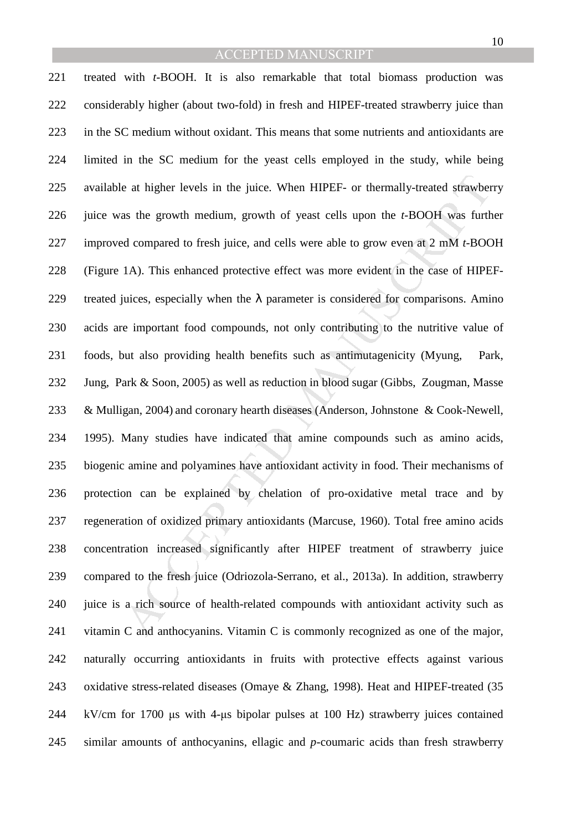e at higher levels in the juice. When HIPEF- or thermally-treated strawber<br>as the growth medium, growth of yeast cells upon the *t*-BOOH was furth<br>d compared to fresh juice, and cells were able to grow even at 2 mM *t*-B 221 treated with *t*-BOOH. It is also remarkable that total biomass production was 222 considerably higher (about two-fold) in fresh and HIPEF-treated strawberry juice than 223 in the SC medium without oxidant. This means that some nutrients and antioxidants are 224 limited in the SC medium for the yeast cells employed in the study, while being 225 available at higher levels in the juice. When HIPEF- or thermally-treated strawberry 226 juice was the growth medium, growth of yeast cells upon the *t*-BOOH was further 227 improved compared to fresh juice, and cells were able to grow even at 2 mM *t*-BOOH 228 (Figure 1A). This enhanced protective effect was more evident in the case of HIPEF-229 treated juices, especially when the  $\lambda$  parameter is considered for comparisons. Amino 230 acids are important food compounds, not only contributing to the nutritive value of 231 foods, but also providing health benefits such as antimutagenicity (Myung, Park, 232 Jung, Park & Soon, 2005) as well as reduction in blood sugar (Gibbs, Zougman, Masse 233 & Mulligan, 2004) and coronary hearth diseases (Anderson, Johnstone & Cook-Newell, 234 1995). Many studies have indicated that amine compounds such as amino acids, 235 biogenic amine and polyamines have antioxidant activity in food. Their mechanisms of 236 protection can be explained by chelation of pro-oxidative metal trace and by 237 regeneration of oxidized primary antioxidants (Marcuse, 1960). Total free amino acids 238 concentration increased significantly after HIPEF treatment of strawberry juice 239 compared to the fresh juice (Odriozola-Serrano, et al., 2013a). In addition, strawberry 240 juice is a rich source of health-related compounds with antioxidant activity such as 241 vitamin C and anthocyanins. Vitamin C is commonly recognized as one of the major, 242 naturally occurring antioxidants in fruits with protective effects against various 243 oxidative stress-related diseases (Omave & Zhang, 1998). Heat and HIPEF-treated (35 244 kV/cm for 1700 µs with 4-µs bipolar pulses at 100 Hz) strawberry juices contained 245 similar amounts of anthocyanins, ellagic and *p*-coumaric acids than fresh strawberry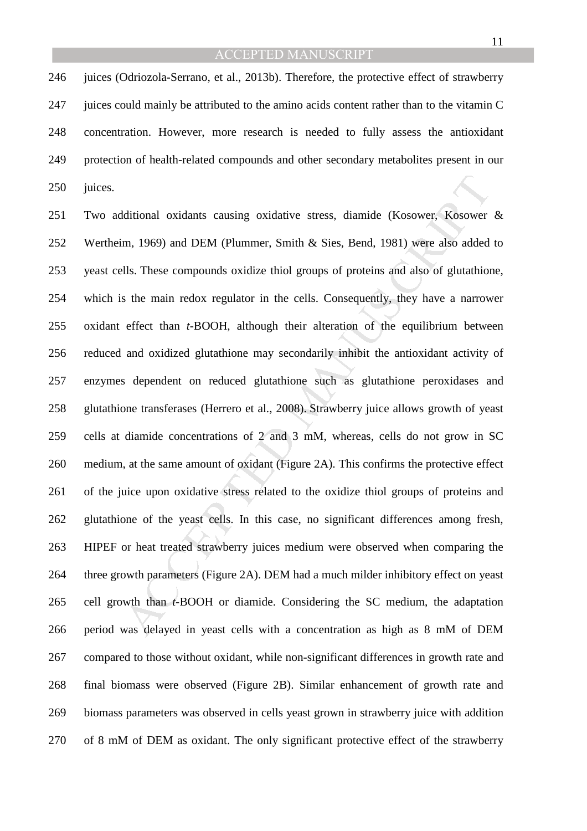246 juices (Odriozola-Serrano, et al., 2013b). Therefore, the protective effect of strawberry 247 juices could mainly be attributed to the amino acids content rather than to the vitamin C 248 concentration. However, more research is needed to fully assess the antioxidant 249 protection of health-related compounds and other secondary metabolites present in our 250 juices.

ditional oxidants causing oxidative stress, diamide (Kosower, Kosower<br>m, 1969) and DEM (Plummer, Smith & Sies, Bend, 1981) were also added<br>tlls. These compounds oxidize thiol groups of proteins and also of glutathior<br>she m 251 Two additional oxidants causing oxidative stress, diamide (Kosower, Kosower & 252 Wertheim, 1969) and DEM (Plummer, Smith & Sies, Bend, 1981) were also added to 253 yeast cells. These compounds oxidize thiol groups of proteins and also of glutathione, 254 which is the main redox regulator in the cells. Consequently, they have a narrower 255 oxidant effect than *t*-BOOH, although their alteration of the equilibrium between 256 reduced and oxidized glutathione may secondarily inhibit the antioxidant activity of 257 enzymes dependent on reduced glutathione such as glutathione peroxidases and 258 glutathione transferases (Herrero et al., 2008). Strawberry juice allows growth of yeast 259 cells at diamide concentrations of 2 and 3 mM, whereas, cells do not grow in SC 260 medium, at the same amount of oxidant (Figure 2A). This confirms the protective effect 261 of the juice upon oxidative stress related to the oxidize thiol groups of proteins and 262 glutathione of the yeast cells. In this case, no significant differences among fresh, 263 HIPEF or heat treated strawberry juices medium were observed when comparing the 264 three growth parameters (Figure 2A). DEM had a much milder inhibitory effect on yeast 265 cell growth than *t*-BOOH or diamide. Considering the SC medium, the adaptation 266 period was delayed in yeast cells with a concentration as high as 8 mM of DEM 267 compared to those without oxidant, while non-significant differences in growth rate and 268 final biomass were observed (Figure 2B). Similar enhancement of growth rate and 269 biomass parameters was observed in cells yeast grown in strawberry juice with addition 270 of 8 mM of DEM as oxidant. The only significant protective effect of the strawberry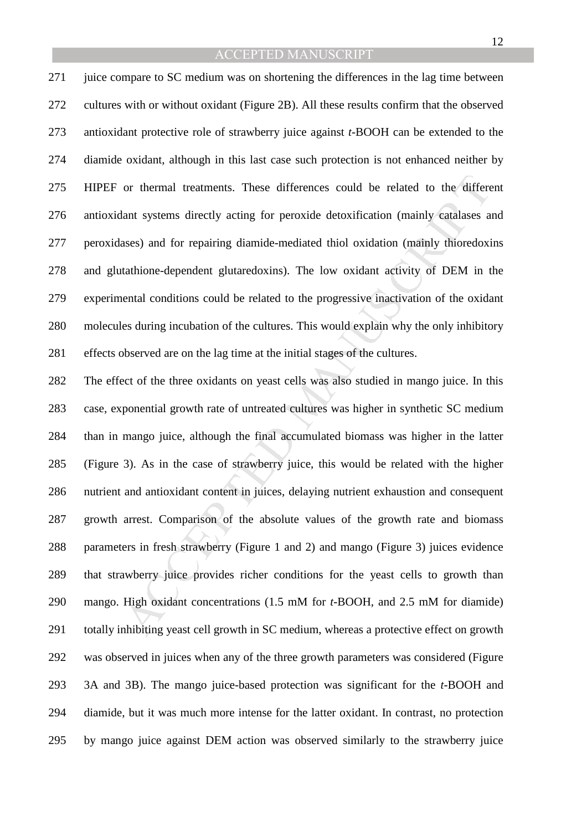271 juice compare to SC medium was on shortening the differences in the lag time between 272 cultures with or without oxidant (Figure 2B). All these results confirm that the observed 273 antioxidant protective role of strawberry juice against *t*-BOOH can be extended to the 274 diamide oxidant, although in this last case such protection is not enhanced neither by 275 HIPEF or thermal treatments. These differences could be related to the different 276 antioxidant systems directly acting for peroxide detoxification (mainly catalases and 277 peroxidases) and for repairing diamide-mediated thiol oxidation (mainly thioredoxins 278 and glutathione-dependent glutaredoxins). The low oxidant activity of DEM in the 279 experimental conditions could be related to the progressive inactivation of the oxidant 280 molecules during incubation of the cultures. This would explain why the only inhibitory 281 effects observed are on the lag time at the initial stages of the cultures.

or thermal treatments. These differences could be related to the different<br>ant systems directly acting for peroxide detoxification (mainly catalases a<br>sases) and for repairing diamide-mediated thiol oxidation (mainly thior 282 The effect of the three oxidants on yeast cells was also studied in mango juice. In this 283 case, exponential growth rate of untreated cultures was higher in synthetic SC medium 284 than in mango juice, although the final accumulated biomass was higher in the latter 285 (Figure 3). As in the case of strawberry juice, this would be related with the higher 286 nutrient and antioxidant content in juices, delaying nutrient exhaustion and consequent 287 growth arrest. Comparison of the absolute values of the growth rate and biomass 288 parameters in fresh strawberry (Figure 1 and 2) and mango (Figure 3) juices evidence 289 that strawberry juice provides richer conditions for the yeast cells to growth than 290 mango. High oxidant concentrations (1.5 mM for *t*-BOOH, and 2.5 mM for diamide) 291 totally inhibiting yeast cell growth in SC medium, whereas a protective effect on growth 292 was observed in juices when any of the three growth parameters was considered (Figure 293 3A and 3B). The mango juice-based protection was significant for the *t*-BOOH and 294 diamide, but it was much more intense for the latter oxidant. In contrast, no protection 295 by mango juice against DEM action was observed similarly to the strawberry juice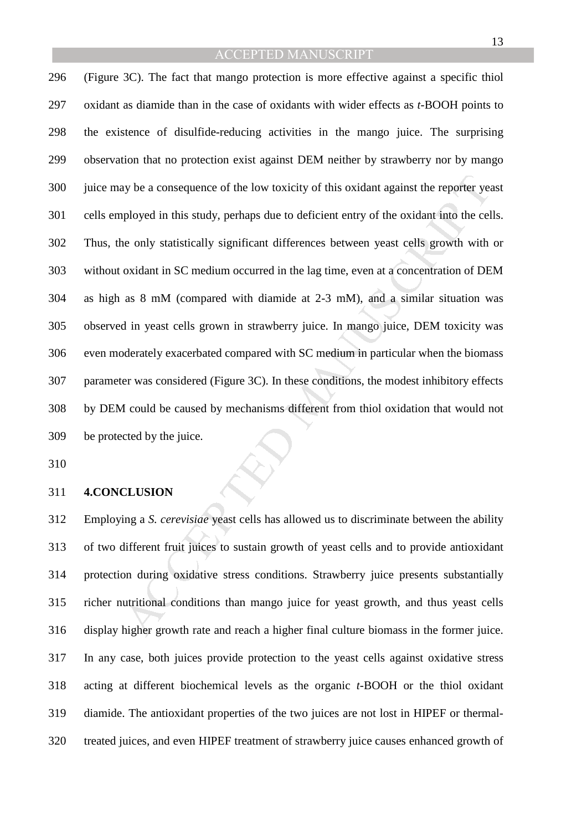ay be a consequence of the low toxicity of this oxidant against the reporter yer<br>ployed in this study, perhaps due to deficient entry of the oxidant into the cel<br>e only statistically significant differences between yeast c 296 (Figure 3C). The fact that mango protection is more effective against a specific thiol 297 oxidant as diamide than in the case of oxidants with wider effects as *t*-BOOH points to 298 the existence of disulfide-reducing activities in the mango juice. The surprising 299 observation that no protection exist against DEM neither by strawberry nor by mango 300 juice may be a consequence of the low toxicity of this oxidant against the reporter yeast 301 cells employed in this study, perhaps due to deficient entry of the oxidant into the cells. 302 Thus, the only statistically significant differences between yeast cells growth with or 303 without oxidant in SC medium occurred in the lag time, even at a concentration of DEM 304 as high as 8 mM (compared with diamide at 2-3 mM), and a similar situation was 305 observed in yeast cells grown in strawberry juice. In mango juice, DEM toxicity was 306 even moderately exacerbated compared with SC medium in particular when the biomass 307 parameter was considered (Figure 3C). In these conditions, the modest inhibitory effects 308 by DEM could be caused by mechanisms different from thiol oxidation that would not 309 be protected by the juice.

310

#### 311 **4.CONCLUSION**

312 Employing a *S. cerevisiae* yeast cells has allowed us to discriminate between the ability 313 of two different fruit juices to sustain growth of yeast cells and to provide antioxidant 314 protection during oxidative stress conditions. Strawberry juice presents substantially 315 richer nutritional conditions than mango juice for yeast growth, and thus yeast cells 316 display higher growth rate and reach a higher final culture biomass in the former juice. 317 In any case, both juices provide protection to the yeast cells against oxidative stress 318 acting at different biochemical levels as the organic *t-*BOOH or the thiol oxidant 319 diamide. The antioxidant properties of the two juices are not lost in HIPEF or thermal-320 treated juices, and even HIPEF treatment of strawberry juice causes enhanced growth of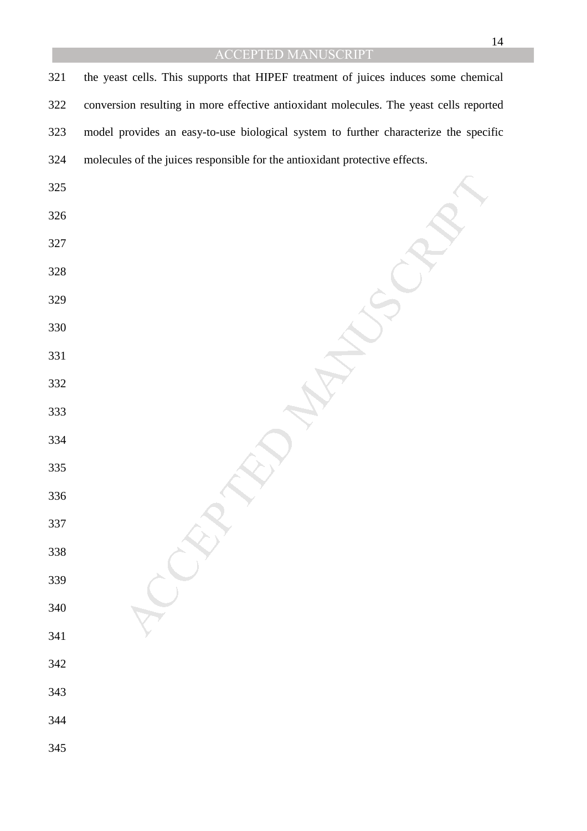MANUSCRIPT 321 the yeast cells. This supports that HIPEF treatment of juices induces some chemical 322 conversion resulting in more effective antioxidant molecules. The yeast cells reported 323 model provides an easy-to-use biological system to further characterize the specific 324 molecules of the juices responsible for the antioxidant protective effects.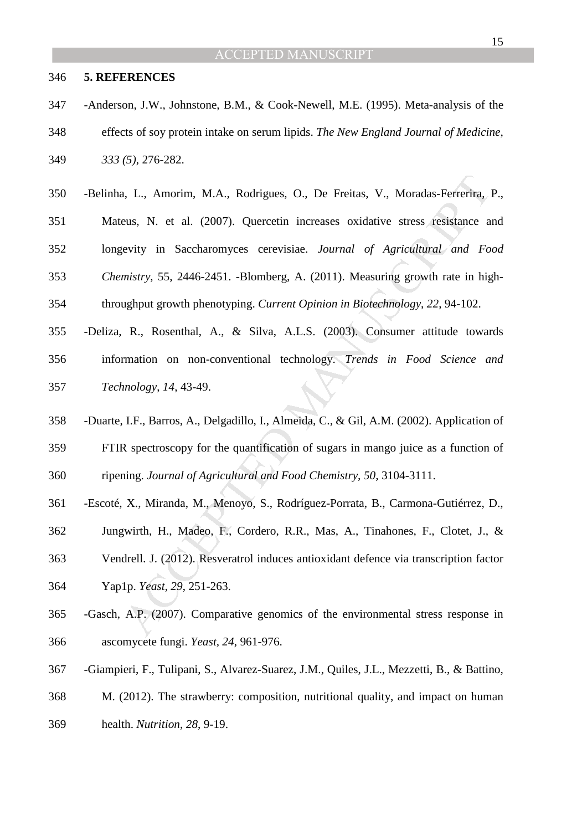#### 346 **5. REFERENCES**

- 347 -Anderson, J.W., Johnstone, B.M., & Cook-Newell, M.E. (1995). Meta-analysis of the 348 effects of soy protein intake on serum lipids. *The New England Journal of Medicine*, 349 *333 (5)*, 276-282.
- 1, L., Amorim, M.A., Rodrigues, O., De Freitas, V., Moradas-Ferrerira, Ious, N. et al. (2007). Quercetin increases oxidative stress resistance a<br>evity in Saccharomyces cerevisiae. *Journal of Agricultural and Formistry*, 5 350 -Belinha, L., Amorim, M.A., Rodrigues, O., De Freitas, V., Moradas-Ferrerira, P., 351 Mateus, N. et al. (2007). Quercetin increases oxidative stress resistance and 352 longevity in Saccharomyces cerevisiae. *Journal of Agricultural and Food*  353 *Chemistry*, 55, 2446-2451. -Blomberg, A. (2011). Measuring growth rate in high-354 throughput growth phenotyping. *Current Opinion in Biotechnology*, *22*, 94-102. 355 -Deliza, R., Rosenthal, A., & Silva, A.L.S. (2003). Consumer attitude towards
- 356 information on non-conventional technology. *Trends in Food Science and*  357 *Technology*, *14*, 43-49.
- 358 -Duarte, I.F., Barros, A., Delgadillo, I., Almeida, C., & Gil, A.M. (2002). Application of 359 FTIR spectroscopy for the quantification of sugars in mango juice as a function of 360 ripening. *Journal of Agricultural and Food Chemistry, 50*, 3104-3111.
- 361 -Escoté, X., Miranda, M., Menoyo, S., Rodríguez-Porrata, B., Carmona-Gutiérrez, D.,
- 362 Jungwirth, H., Madeo, F., Cordero, R.R., Mas, A., Tinahones, F., Clotet, J., &
- 363 Vendrell. J. (2012). Resveratrol induces antioxidant defence via transcription factor 364 Yap1p. *Yeast*, *29*, 251-263.
- 365 -Gasch, A.P. (2007). Comparative genomics of the environmental stress response in 366 ascomycete fungi. *Yeast, 24*, 961-976.
- 367 -Giampieri, F., Tulipani, S., Alvarez-Suarez, J.M., Quiles, J.L., Mezzetti, B., & Battino,
- 368 M. (2012). The strawberry: composition, nutritional quality, and impact on human
- 369 health. *Nutrition*, *28*, 9-19.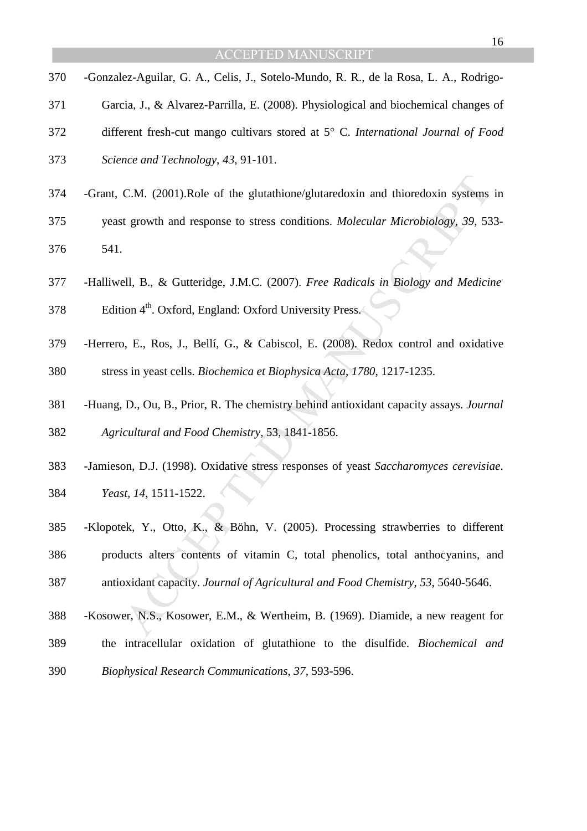16

- 370 -Gonzalez-Aguilar, G. A., Celis, J., Sotelo-Mundo, R. R., de la Rosa, L. A., Rodrigo-371 Garcia, J., & Alvarez-Parrilla, E. (2008). Physiological and biochemical changes of 372 different fresh-cut mango cultivars stored at 5° C. *International Journal of Food*  373 *Science and Technology*, *43*, 91-101.
- 374 -Grant, C.M. (2001).Role of the glutathione/glutaredoxin and thioredoxin systems in
- 375 yeast growth and response to stress conditions. *Molecular Microbiology*, *39*, 533- 376 541.
- -Halliwell, B., & Gutteridge, J.M.C. (2007). *Free Radicals in Biology and Medicine.* 377
- 378 . Edition  $4<sup>th</sup>$ . Oxford, England: Oxford University Press.
- 379 -Herrero, E., Ros, J., Bellí, G., & Cabiscol, E. (2008). Redox control and oxidative 380 stress in yeast cells. *Biochemica et Biophysica Acta*, *1780*, 1217-1235.
- 381 -Huang, D., Ou, B., Prior, R. The chemistry behind antioxidant capacity assays. *Journal*  382 *Agricultural and Food Chemistry*, 53, 1841-1856.
- 383 -Jamieson, D.J. (1998). Oxidative stress responses of yeast *Saccharomyces cerevisiae*.
- 384 *Yeast, 14*, 1511-1522.
- C.M. (2001).Role of the glutathione/glutaredoxin and thioredoxin systems<br>a growth and response to stress conditions. *Molecular Microbiology*, 39, 53<br>ell, B., & Gutteridge, J.M.C. (2007). *Free Radicals in Biology and Medi* 385 -Klopotek, Y., Otto, K., & Böhn, V. (2005). Processing strawberries to different 386 products alters contents of vitamin C, total phenolics, total anthocyanins, and 387 antioxidant capacity. *Journal of Agricultural and Food Chemistry*, *53*, 5640-5646.
- 388 -Kosower, N.S., Kosower, E.M., & Wertheim, B. (1969). Diamide, a new reagent for
- 389 the intracellular oxidation of glutathione to the disulfide. *Biochemical and*
- 390 *Biophysical Research Communications*, *37*, 593-596.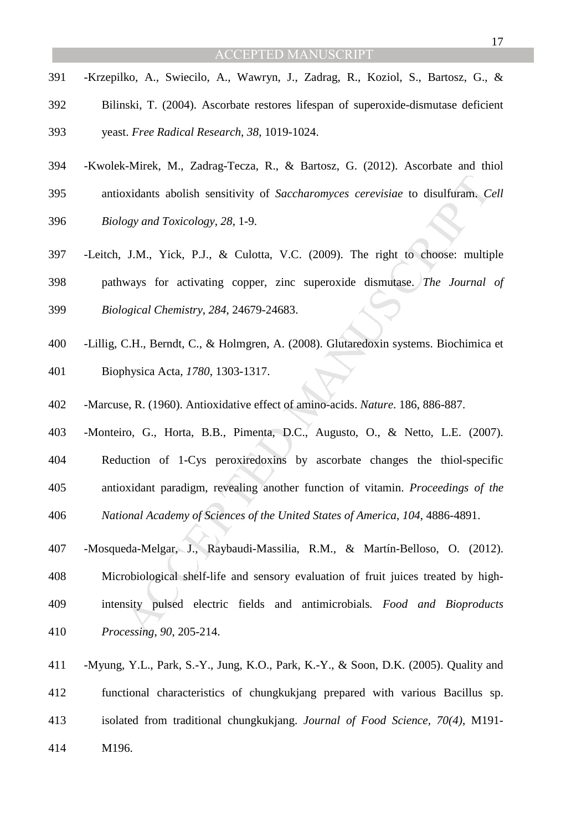- 391 -Krzepilko, A., Swiecilo, A., Wawryn, J., Zadrag, R., Koziol, S., Bartosz, G., &
- 392 Bilinski, T. (2004). Ascorbate restores lifespan of superoxide-dismutase deficient

393 yeast. *Free Radical Research, 38*, 1019-1024.

- 394 -Kwolek-Mirek, M., Zadrag-Tecza, R., & Bartosz, G. (2012). Ascorbate and thiol
- 395 antioxidants abolish sensitivity of *Saccharomyces cerevisiae* to disulfuram. *Cell*
- 396 *Biology and Toxicology*, *28*, 1-9.
- 397 -Leitch, J.M., Yick, P.J., & Culotta, V.C. (2009). The right to choose: multiple 398 pathways for activating copper, zinc superoxide dismutase. *The Journal of*  399 *Biological Chemistry*, *284*, 24679-24683.
- 400 -Lillig, C.H., Berndt, C., & Holmgren, A. (2008). Glutaredoxin systems. Biochimica et
- 401 Biophysica Acta, *1780*, 1303-1317.
- 402 -Marcuse, R. (1960). Antioxidative effect of amino-acids. *Nature*. 186, 886-887.
- 403 -Monteiro, G., Horta, B.B., Pimenta, D.C., Augusto, O., & Netto, L.E. (2007). 404 Reduction of 1-Cys peroxiredoxins by ascorbate changes the thiol-specific 405 antioxidant paradigm, revealing another function of vitamin. *Proceedings of the*

406 *National Academy of Sciences of the United States of America*, *104*, 4886-4891.

- oxidants abolish sensitivity of *Saccharomyces cerevisiae* to disulfuram. Consident and *Toxicology*, 28, 1-9.<br>
J.M., Yick, P.J., & Culotta, V.C. (2009). The right to choose: multiply<br>
ways for activating copper, zinc supe 407 -Mosqueda-Melgar, J., Raybaudi-Massilia, R.M., & Martín-Belloso, O. (2012). 408 Microbiological shelf-life and sensory evaluation of fruit juices treated by high-409 intensity pulsed electric fields and antimicrobials*. Food and Bioproducts*  410 *Processing*, *90*, 205-214.
- 411 -Myung, Y.L., Park, S.-Y., Jung, K.O., Park, K.-Y., & Soon, D.K. (2005). Quality and 412 functional characteristics of chungkukjang prepared with various Bacillus sp. 413 isolated from traditional chungkukjang. *Journal of Food Science, 70(4)*, M191- 414 M196.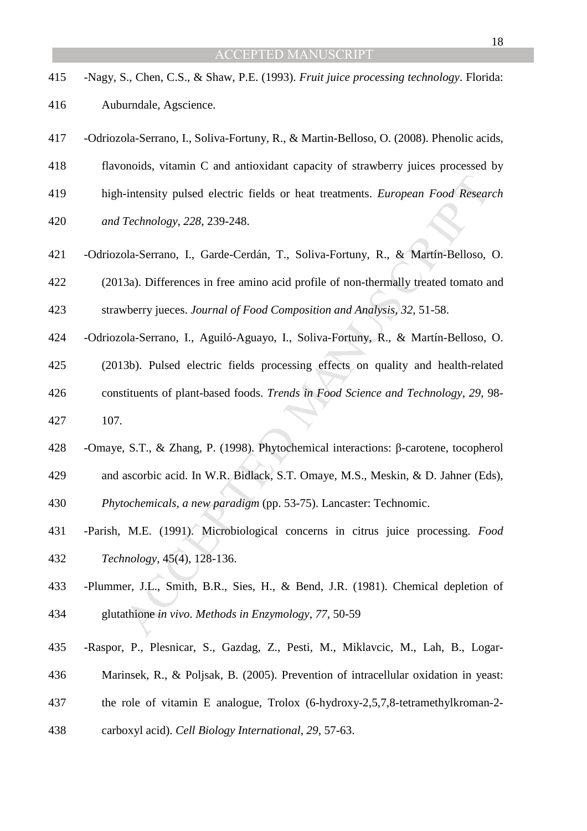- 415 -Nagy, S., Chen, C.S., & Shaw, P.E. (1993). *Fruit juice processing technology*. Florida:
- 416 Auburndale, Agscience.
- 417 -Odriozola-Serrano, I., Soliva-Fortuny, R., & Martin-Belloso, O. (2008). Phenolic acids,
- 418 flavonoids, vitamin C and antioxidant capacity of strawberry juices processed by
- 419 high-intensity pulsed electric fields or heat treatments. *European Food Research*
- 420 *and Technology*, *228*, 239-248.
- 421 -Odriozola-Serrano, I., Garde-Cerdán, T., Soliva-Fortuny, R., & Martín-Belloso, O.

422 (2013a). Differences in free amino acid profile of non-thermally treated tomato and 423 strawberry jueces. *Journal of Food Composition and Analysis*, *32*, 51-58.

- 424 -Odriozola-Serrano, I., Aguiló-Aguayo, I., Soliva-Fortuny, R., & Martín-Belloso, O.
- -intensity pulsed electric fields or heat treatments. *European Food Resear*<br>*Technology*, 228, 239-248.<br>
ola-Serrano, I., Garde-Cerdán, T., Soliva-Fortuny, R., & Martín-Belloso,<br>
3a). Differences in free amino acid profi 425 (2013b). Pulsed electric fields processing effects on quality and health-related 426 constituents of plant-based foods. *Trends in Food Science and Technology*, *29*, 98- 427 107.
- 428 -Omaye, S.T., & Zhang, P. (1998). Phytochemical interactions: β-carotene, tocopherol
- 429 and ascorbic acid. In W.R. Bidlack, S.T. Omaye, M.S., Meskin, & D. Jahner (Eds),
- 430 *Phytochemicals, a new paradigm* (pp. 53-75). Lancaster: Technomic.
- 431 -Parish, M.E. (1991). Microbiological concerns in citrus juice processing. *Food*  432 *Technology*, 45(4), 128-136.
- 433 -Plummer, J.L., Smith, B.R., Sies, H., & Bend, J.R. (1981). Chemical depletion of 434 glutathione *in vivo*. *Methods in Enzymology*, *77*, 50-59
- 435 -Raspor, P., Plesnicar, S., Gazdag, Z., Pesti, M., Miklavcic, M., Lah, B., Logar-
- 436 Marinsek, R., & Poljsak, B. (2005). Prevention of intracellular oxidation in yeast:
- 437 the role of vitamin E analogue, Trolox (6-hydroxy-2,5,7,8-tetramethylkroman-2-
- 438 carboxyl acid). *Cell Biology International*, *29*, 57-63.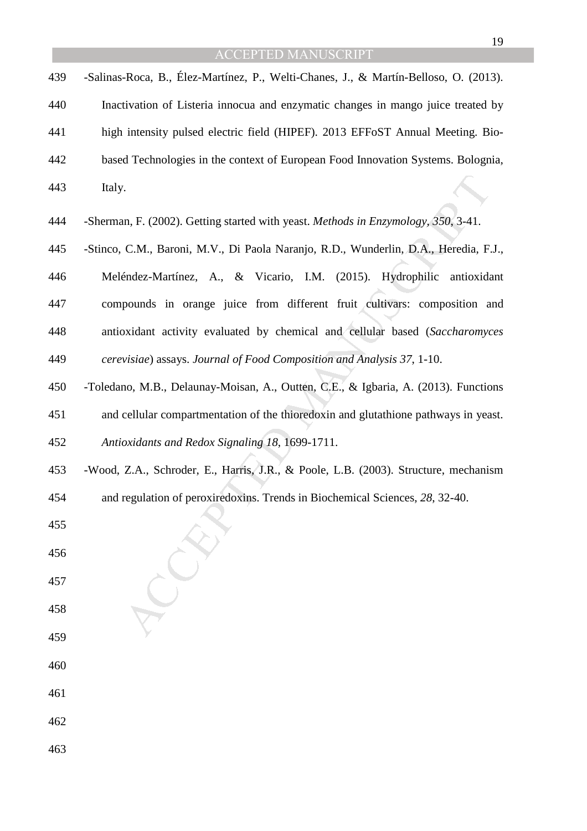|     | <b>ACCEPTED MANUSCRIPT</b>                                                           |
|-----|--------------------------------------------------------------------------------------|
| 439 | -Salinas-Roca, B., Élez-Martínez, P., Welti-Chanes, J., & Martín-Belloso, O. (2013). |
| 440 | Inactivation of Listeria innocua and enzymatic changes in mango juice treated by     |
| 441 | high intensity pulsed electric field (HIPEF). 2013 EFFoST Annual Meeting. Bio-       |
| 442 | based Technologies in the context of European Food Innovation Systems. Bolognia,     |
| 443 | Italy.                                                                               |
| 444 | -Sherman, F. (2002). Getting started with yeast. Methods in Enzymology, 350, 3-41.   |
| 445 | -Stinco, C.M., Baroni, M.V., Di Paola Naranjo, R.D., Wunderlin, D.A., Heredia, F.J., |
| 446 | Meléndez-Martínez, A., & Vicario, I.M. (2015). Hydrophilic<br>antioxidant            |
| 447 | compounds in orange juice from different fruit cultivars: composition and            |
| 448 | antioxidant activity evaluated by chemical and cellular based (Saccharomyces         |
| 449 | cerevisiae) assays. Journal of Food Composition and Analysis 37, 1-10.               |
| 450 | -Toledano, M.B., Delaunay-Moisan, A., Outten, C.E., & Igbaria, A. (2013). Functions  |
| 451 | and cellular compartmentation of the thioredoxin and glutathione pathways in yeast.  |
| 452 | Antioxidants and Redox Signaling 18, 1699-1711.                                      |
| 453 | -Wood, Z.A., Schroder, E., Harris, J.R., & Poole, L.B. (2003). Structure, mechanism  |
| 454 | and regulation of peroxiredoxins. Trends in Biochemical Sciences, 28, 32-40.         |
| 455 |                                                                                      |
| 456 |                                                                                      |
| 457 |                                                                                      |
| 458 |                                                                                      |
| 459 |                                                                                      |
| 460 |                                                                                      |
| 461 |                                                                                      |

- 462
- 463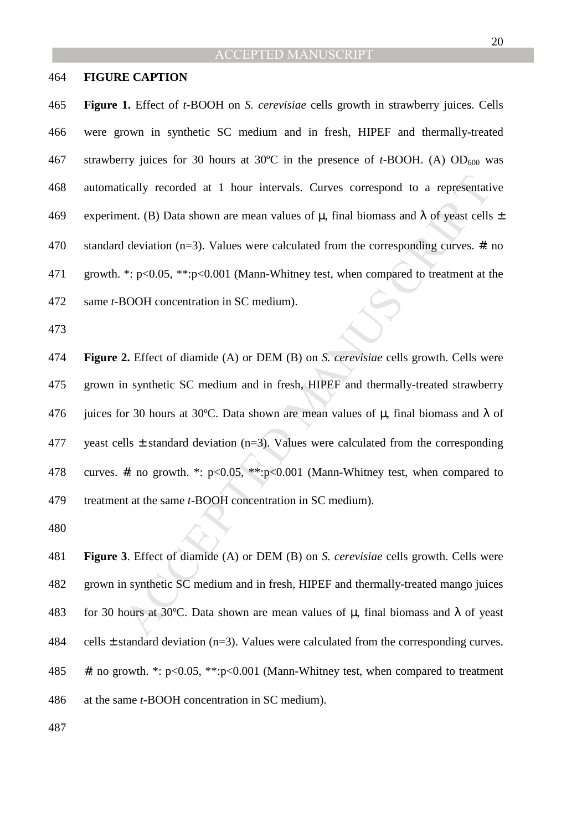#### 464 **FIGURE CAPTION**

465 **Figure 1.** Effect of *t*-BOOH on *S. cerevisiae* cells growth in strawberry juices. Cells 466 were grown in synthetic SC medium and in fresh, HIPEF and thermally-treated 467 strawberry juices for 30 hours at 30 $\degree$ C in the presence of *t*-BOOH. (A) OD<sub>600</sub> was 468 automatically recorded at 1 hour intervals. Curves correspond to a representative 469 experiment. (B) Data shown are mean values of  $\mu$ , final biomass and  $\lambda$  of yeast cells  $\pm$ 470 standard deviation (n=3). Values were calculated from the corresponding curves. #: no 471 growth. \*: p<0.05, \*\*:p<0.001 (Mann-Whitney test, when compared to treatment at the 472 same *t-*BOOH concentration in SC medium).

473

ically recorded at 1 hour intervals. Curves correspond to a representation<br>tent. (B) Data shown are mean values of μ, final biomass and λ of yeast cells<br>deviation (n=3). Values were calculated from the corresponding curv 474 **Figure 2.** Effect of diamide (A) or DEM (B) on *S. cerevisiae* cells growth. Cells were 475 grown in synthetic SC medium and in fresh, HIPEF and thermally-treated strawberry 476 juices for 30 hours at 30°C. Data shown are mean values of  $\mu$ , final biomass and  $\lambda$  of 477 yeast cells  $\pm$  standard deviation (n=3). Values were calculated from the corresponding 478 curves. #: no growth. \*: p<0.05, \*\*:p<0.001 (Mann-Whitney test, when compared to 479 treatment at the same *t-*BOOH concentration in SC medium).

480

481 **Figure 3**. Effect of diamide (A) or DEM (B) on *S. cerevisiae* cells growth. Cells were 482 grown in synthetic SC medium and in fresh, HIPEF and thermally-treated mango juices 483 for 30 hours at 30°C. Data shown are mean values of  $\mu$ , final biomass and  $\lambda$  of yeast 484 cells  $\pm$  standard deviation (n=3). Values were calculated from the corresponding curves. 485 #: no growth. \*: p<0.05, \*\*:p<0.001 (Mann-Whitney test, when compared to treatment 486 at the same *t-*BOOH concentration in SC medium).

487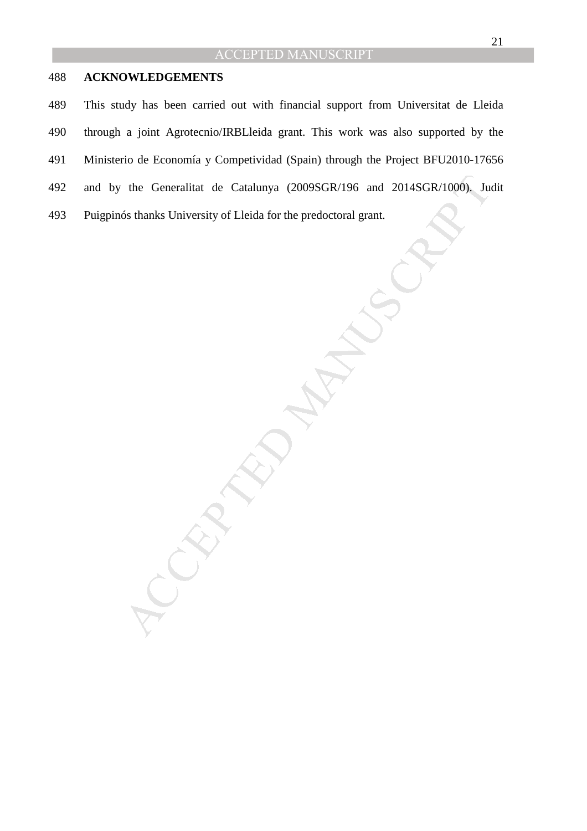## 488 **ACKNOWLEDGEMENTS**

489 This study has been carried out with financial support from Universitat de Lleida 490 through a joint Agrotecnio/IRBLleida grant. This work was also supported by the 491 Ministerio de Economía y Competividad (Spain) through the Project BFU2010-17656 492 and by the Generalitat de Catalunya (2009SGR/196 and 2014SGR/1000). Judit 493 Puigpinós thanks University of Lleida for the predoctoral grant.

the Generalitat de Catalunya (2009SGR/196 and 2014SGR/1000), Ju<br>6s thanks University of Lleida for the predoctoral grant.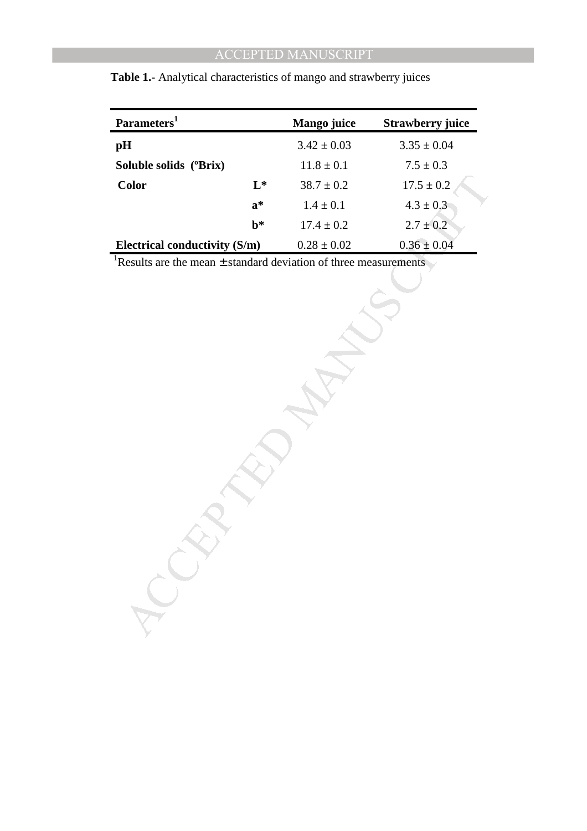| Parameters <sup>1</sup>       |                | Mango juice    | <b>Strawberry juice</b> |
|-------------------------------|----------------|----------------|-------------------------|
| pH                            |                | $3.42\pm0.03$  | $3.35 \pm 0.04$         |
| Soluble solids (°Brix)        |                | $11.8 \pm 0.1$ | $7.5\pm0.3$             |
| <b>Color</b>                  | $L^*$          | $38.7\pm0.2$   | $17.5 \pm 0.2$          |
|                               | $a^*$          | $1.4 \pm 0.1$  | $4.3 \pm 0.3$           |
|                               | $\mathbf{b}^*$ | $17.4\pm0.2$   | $2.7 \pm 0.2$           |
| Electrical conductivity (S/m) |                | $0.28\pm0.02$  | $0.36 \pm 0.04$         |
|                               |                |                |                         |

 **Table 1.**- Analytical characteristics of mango and strawberry juices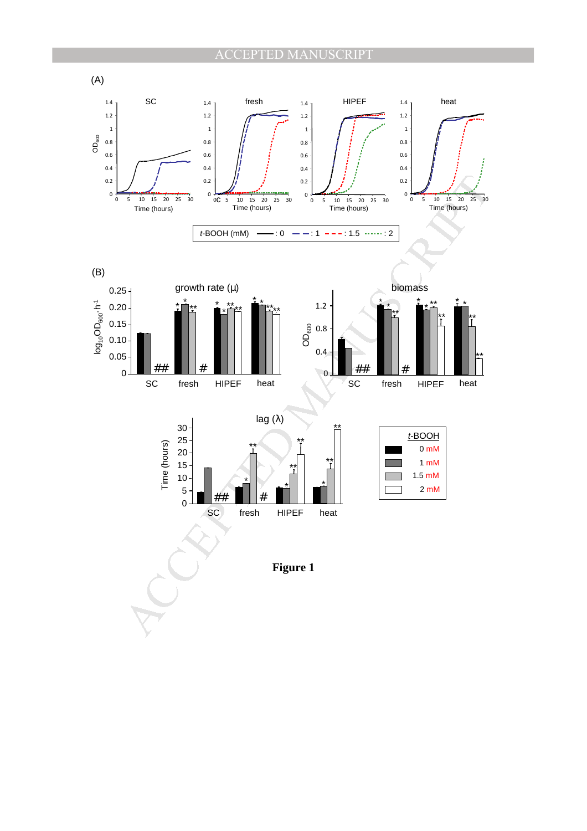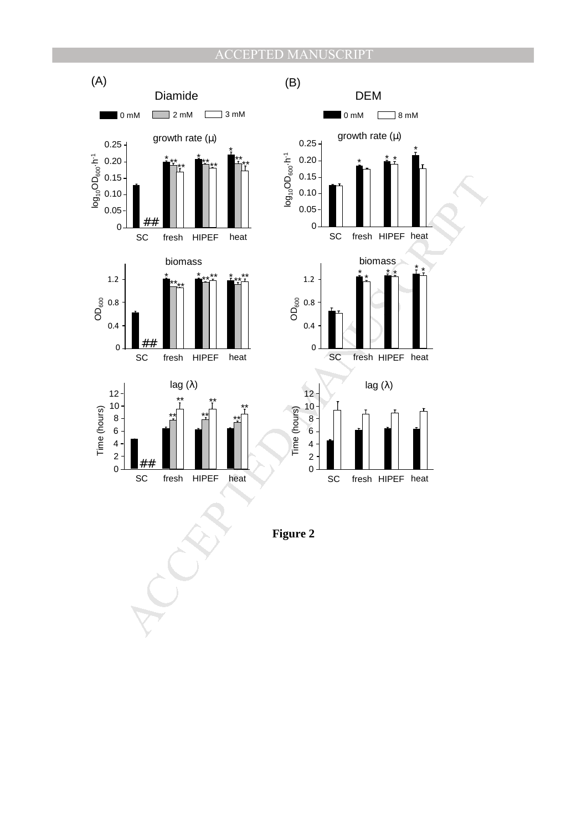![](_page_25_Figure_1.jpeg)

**Figure 2**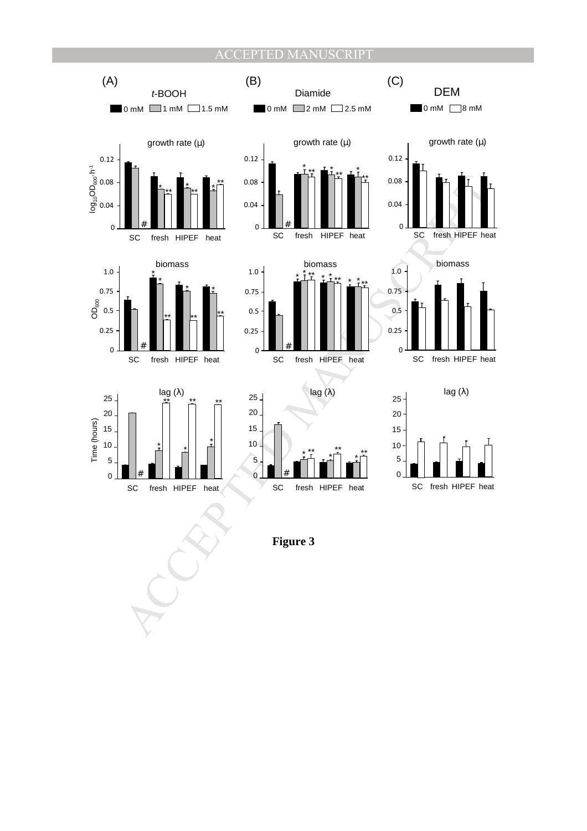![](_page_26_Figure_1.jpeg)

**Figure 3**